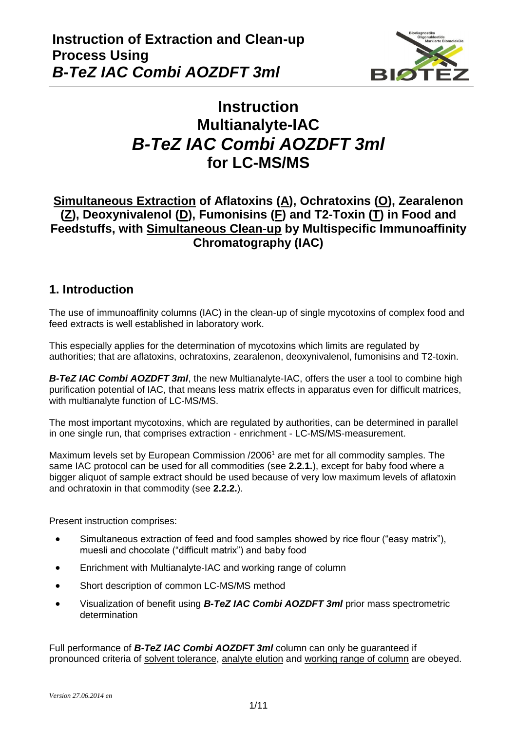

# **Instruction Multianalyte-IAC** *B-TeZ IAC Combi AOZDFT 3ml* **for LC-MS/MS**

## **Simultaneous Extraction of Aflatoxins (A), Ochratoxins (O), Zearalenon (Z), Deoxynivalenol (D), Fumonisins (F) and T2-Toxin (T) in Food and Feedstuffs, with Simultaneous Clean-up by Multispecific Immunoaffinity Chromatography (IAC)**

### **1. Introduction**

The use of immunoaffinity columns (IAC) in the clean-up of single mycotoxins of complex food and feed extracts is well established in laboratory work.

This especially applies for the determination of mycotoxins which limits are regulated by authorities; that are aflatoxins, ochratoxins, zearalenon, deoxynivalenol, fumonisins and T2-toxin.

*B-TeZ IAC Combi AOZDFT 3ml*, the new Multianalyte-IAC, offers the user a tool to combine high purification potential of IAC, that means less matrix effects in apparatus even for difficult matrices, with multianalyte function of LC-MS/MS.

The most important mycotoxins, which are regulated by authorities, can be determined in parallel in one single run, that comprises extraction - enrichment - LC-MS/MS-measurement.

Maximum levels set by European Commission /2006<sup>1</sup> are met for all commodity samples. The same IAC protocol can be used for all commodities (see **2.2.1.**), except for baby food where a bigger aliquot of sample extract should be used because of very low maximum levels of aflatoxin and ochratoxin in that commodity (see **2.2.2.**).

Present instruction comprises:

- Simultaneous extraction of feed and food samples showed by rice flour ("easy matrix"), muesli and chocolate ("difficult matrix") and baby food
- Enrichment with Multianalyte-IAC and working range of column
- Short description of common LC-MS/MS method
- Visualization of benefit using *B-TeZ IAC Combi AOZDFT 3ml* prior mass spectrometric determination

Full performance of *B-TeZ IAC Combi AOZDFT 3ml* column can only be guaranteed if pronounced criteria of solvent tolerance, analyte elution and working range of column are obeyed.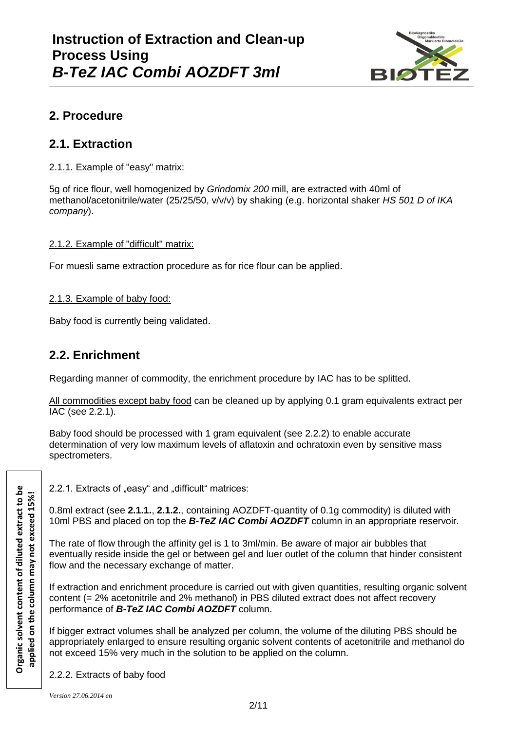

# **2. Procedure**

## **2.1. Extraction**

### 2.1.1. Example of "easy" matrix:

5g of rice flour, well homogenized by *Grindomix 200* mill, are extracted with 40ml of methanol/acetonitrile/water (25/25/50, v/v/v) by shaking (e.g. horizontal shaker *HS 501 D of IKA company*).

#### 2.1.2. Example of "difficult" matrix:

For muesli same extraction procedure as for rice flour can be applied.

### 2.1.3. Example of baby food:

Baby food is currently being validated.

### **2.2. Enrichment**

Regarding manner of commodity, the enrichment procedure by IAC has to be splitted.

All commodities except baby food can be cleaned up by applying 0.1 gram equivalents extract per IAC (see 2.2.1).

Baby food should be processed with 1 gram equivalent (see 2.2.2) to enable accurate determination of very low maximum levels of aflatoxin and ochratoxin even by sensitive mass spectrometers.

2.2.1. Extracts of "easy" and "difficult" matrices:

0.8ml extract (see **2.1.1.**, **2.1.2.**, containing AOZDFT-quantity of 0.1g commodity) is diluted with 10ml PBS and placed on top the *B-TeZ IAC Combi AOZDFT* column in an appropriate reservoir.

The rate of flow through the affinity gel is 1 to 3ml/min. Be aware of major air bubbles that eventually reside inside the gel or between gel and luer outlet of the column that hinder consistent flow and the necessary exchange of matter.

If extraction and enrichment procedure is carried out with given quantities, resulting organic solvent content (= 2% acetonitrile and 2% methanol) in PBS diluted extract does not affect recovery performance of *B-TeZ IAC Combi AOZDFT* column.

If bigger extract volumes shall be analyzed per column, the volume of the diluting PBS should be appropriately enlarged to ensure resulting organic solvent contents of acetonitrile and methanol do not exceed 15% very much in the solution to be applied on the column.

2.2.2. Extracts of baby food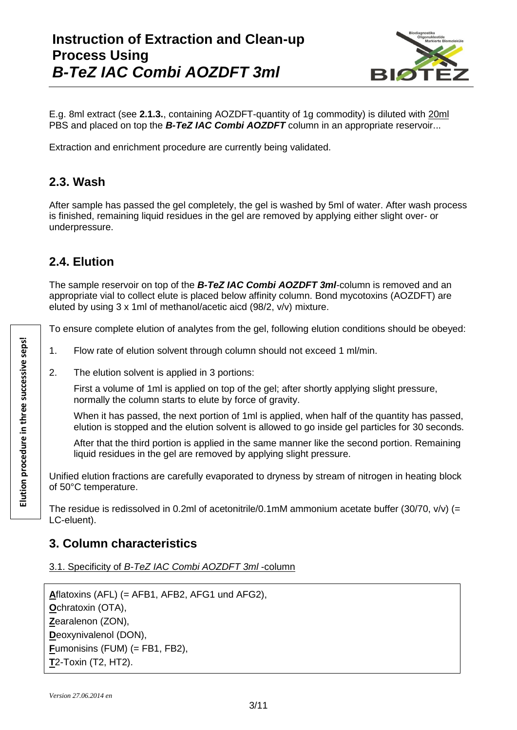# **Instruction of Extraction and Clean-up Process Using** *B-TeZ IAC Combi AOZDFT 3ml*



E.g. 8ml extract (see **2.1.3.**, containing AOZDFT-quantity of 1g commodity) is diluted with 20ml PBS and placed on top the **B-TeZ IAC Combi AOZDFT** column in an appropriate reservoir...

Extraction and enrichment procedure are currently being validated.

## **2.3. Wash**

After sample has passed the gel completely, the gel is washed by 5ml of water. After wash process is finished, remaining liquid residues in the gel are removed by applying either slight over- or underpressure.

# **2.4. Elution**

The sample reservoir on top of the *B-TeZ IAC Combi AOZDFT 3ml*-column is removed and an appropriate vial to collect elute is placed below affinity column. Bond mycotoxins (AOZDFT) are eluted by using 3 x 1ml of methanol/acetic aicd (98/2, v/v) mixture.

To ensure complete elution of analytes from the gel, following elution conditions should be obeyed:

- 1. Flow rate of elution solvent through column should not exceed 1 ml/min.
- 2. The elution solvent is applied in 3 portions:

First a volume of 1ml is applied on top of the gel; after shortly applying slight pressure, normally the column starts to elute by force of gravity.

When it has passed, the next portion of 1ml is applied, when half of the quantity has passed, elution is stopped and the elution solvent is allowed to go inside gel particles for 30 seconds.

After that the third portion is applied in the same manner like the second portion. Remaining liquid residues in the gel are removed by applying slight pressure.

Unified elution fractions are carefully evaporated to dryness by stream of nitrogen in heating block of 50°C temperature.

The residue is redissolved in 0.2ml of acetonitrile/0.1mM ammonium acetate buffer (30/70,  $v/v$ ) (= LC-eluent).

## **3. Column characteristics**

3.1. Specificity of *B-TeZ IAC Combi AOZDFT 3ml* -column

**A**flatoxins (AFL) (= AFB1, AFB2, AFG1 und AFG2), **O**chratoxin (OTA), **Z**earalenon (ZON), **D**eoxynivalenol (DON), **F**umonisins (FUM) (= FB1, FB2), **T**2-Toxin (T2, HT2).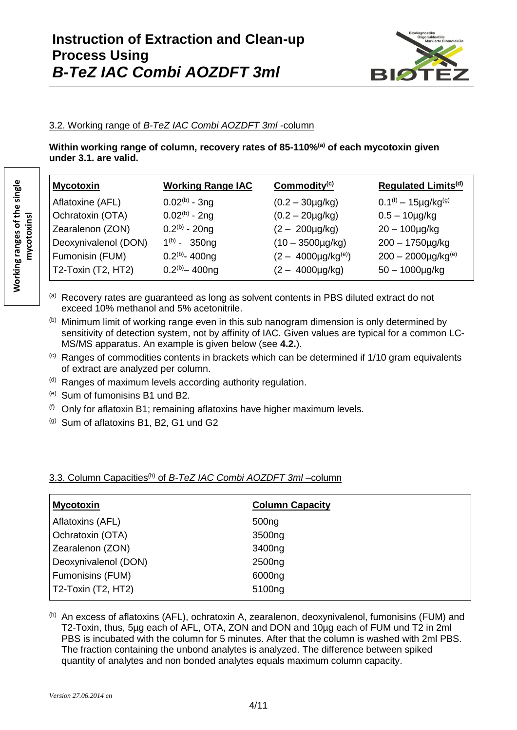

#### 3.2. Working range of *B-TeZ IAC Combi AOZDFT 3ml* -column

**Within working range of column, recovery rates of 85-110%(a) of each mycotoxin given under 3.1. are valid.**

| <b>Mycotoxin</b>     | <b>Working Range IAC</b> | Commodity $(c)$             | <b>Regulated Limits<sup>(d)</sup></b> |
|----------------------|--------------------------|-----------------------------|---------------------------------------|
| Aflatoxine (AFL)     | $0.02^{(b)}$ - 3ng       | $(0.2 - 30 \mu g/kg)$       | $0.1^{(f)} - 15\mu g/kg^{(g)}$        |
| Ochratoxin (OTA)     | $0.02^{(b)}$ - 2ng       | $(0.2 - 20 \mu g/kg)$       | $0.5 - 10 \mu g/kg$                   |
| Zearalenon (ZON)     | $0.2^{(b)} - 20$ ng      | $(2 - 200 \mu g/kg)$        | $20 - 100$ µg/kg                      |
| Deoxynivalenol (DON) | $1^{(b)} - 350$ ng       | $(10 - 3500 \mu g/kg)$      | $200 - 1750 \mu g/kg$                 |
| Fumonisin (FUM)      | $0.2(b) - 400$ ng        | $(2 - 4000 \mu g/kg^{(e)})$ | $200 - 2000 \mu g/kg^{(e)}$           |
| T2-Toxin (T2, HT2)   | $0.2(b) - 400$ ng        | $(2 - 4000 \mu g/kg)$       | $50 - 1000$ µg/kg                     |

- (a) Recovery rates are guaranteed as long as solvent contents in PBS diluted extract do not exceed 10% methanol and 5% acetonitrile.
- (b) Minimum limit of working range even in this sub nanogram dimension is only determined by sensitivity of detection system, not by affinity of IAC. Given values are typical for a common LC-MS/MS apparatus. An example is given below (see **4.2.**).
- $\langle c \rangle$  Ranges of commodities contents in brackets which can be determined if 1/10 gram equivalents of extract are analyzed per column.
- $<sup>(d)</sup>$  Ranges of maximum levels according authority regulation.</sup>
- (e) Sum of fumonisins B1 und B2.
- $(6)$  Only for aflatoxin B1; remaining aflatoxins have higher maximum levels.
- (g) Sum of aflatoxins B1, B2, G1 und G2

| <b>Mycotoxin</b>     | <b>Column Capacity</b> |  |
|----------------------|------------------------|--|
| Aflatoxins (AFL)     | 500 <sub>ng</sub>      |  |
| Ochratoxin (OTA)     | 3500ng                 |  |
| Zearalenon (ZON)     | 3400ng                 |  |
| Deoxynivalenol (DON) | 2500 <sub>ng</sub>     |  |
| Fumonisins (FUM)     | 6000ng                 |  |
| $T2-Toxin (T2, HT2)$ | 5100 <sub>ng</sub>     |  |

#### 3.3. Column Capacities<sup>(h)</sup> of *B-TeZ IAC Combi AOZDFT 3ml* –column

(h) An excess of aflatoxins (AFL), ochratoxin A, zearalenon, deoxynivalenol, fumonisins (FUM) and T2-Toxin, thus, 5µg each of AFL, OTA, ZON and DON and 10µg each of FUM und T2 in 2ml PBS is incubated with the column for 5 minutes. After that the column is washed with 2ml PBS. The fraction containing the unbond analytes is analyzed. The difference between spiked quantity of analytes and non bonded analytes equals maximum column capacity.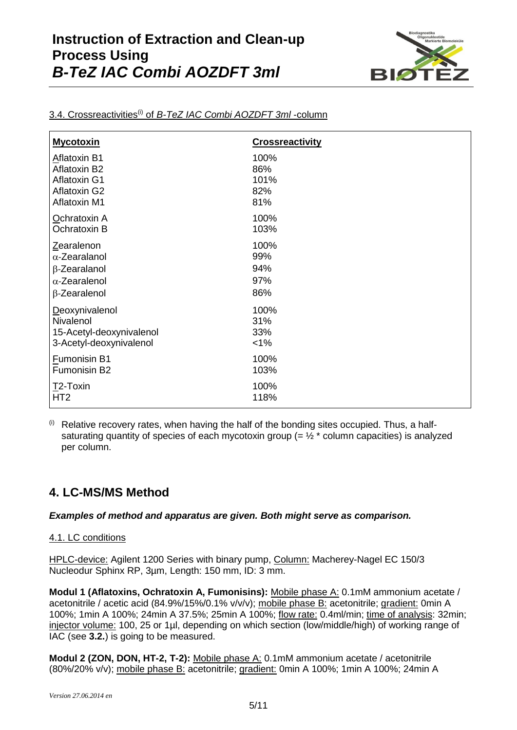

| <b>Mycotoxin</b>         | <b>Crossreactivity</b> |
|--------------------------|------------------------|
| Aflatoxin B1             | 100%                   |
| Aflatoxin B2             | 86%                    |
| <b>Aflatoxin G1</b>      | 101%                   |
| <b>Aflatoxin G2</b>      | 82%                    |
| <b>Aflatoxin M1</b>      | 81%                    |
| Ochratoxin A             | 100%                   |
| Ochratoxin B             | 103%                   |
| Zearalenon               | 100%                   |
| $\alpha$ -Zearalanol     | 99%                    |
| β-Zearalanol             | 94%                    |
| $\alpha$ -Zearalenol     | 97%                    |
| β-Zearalenol             | 86%                    |
| <b>Deoxynivalenol</b>    | 100%                   |
| Nivalenol                | 31%                    |
| 15-Acetyl-deoxynivalenol | 33%                    |
| 3-Acetyl-deoxynivalenol  | $< 1\%$                |
| Fumonisin B1             | 100%                   |
| Fumonisin B2             | 103%                   |
| T2-Toxin                 | 100%                   |
| HT <sub>2</sub>          | 118%                   |

#### 3.4. Crossreactivities(i) of *B-TeZ IAC Combi AOZDFT 3ml* -column

 $<sup>(i)</sup>$  Relative recovery rates, when having the half of the bonding sites occupied. Thus, a half-</sup> saturating quantity of species of each mycotoxin group (=  $\frac{1}{2}$  \* column capacities) is analyzed per column.

# **4. LC-MS/MS Method**

#### *Examples of method and apparatus are given. Both might serve as comparison.*

#### 4.1. LC conditions

HPLC-device: Agilent 1200 Series with binary pump, Column: Macherey-Nagel EC 150/3 Nucleodur Sphinx RP, 3µm, Length: 150 mm, ID: 3 mm.

**Modul 1 (Aflatoxins, Ochratoxin A, Fumonisins):** Mobile phase A: 0.1mM ammonium acetate / acetonitrile / acetic acid (84.9%/15%/0.1% v/v/v); mobile phase B: acetonitrile; gradient: 0min A 100%; 1min A 100%; 24min A 37.5%; 25min A 100%; flow rate: 0.4ml/min; time of analysis: 32min; injector volume: 100, 25 or 1µl, depending on which section (low/middle/high) of working range of IAC (see **3.2.**) is going to be measured.

**Modul 2 (ZON, DON, HT-2, T-2):** Mobile phase A: 0.1mM ammonium acetate / acetonitrile (80%/20% v/v); mobile phase B: acetonitrile; gradient: 0min A 100%; 1min A 100%; 24min A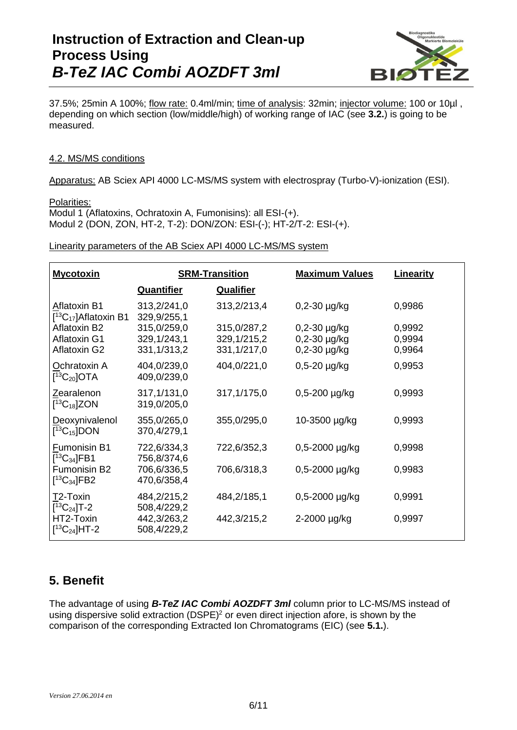

37.5%; 25min A 100%; flow rate: 0.4ml/min; time of analysis: 32min; injector volume: 100 or 10µl , depending on which section (low/middle/high) of working range of IAC (see **3.2.**) is going to be measured.

#### 4.2. MS/MS conditions

Apparatus: AB Sciex API 4000 LC-MS/MS system with electrospray (Turbo-V)-ionization (ESI).

#### Polarities:

Modul 1 (Aflatoxins, Ochratoxin A, Fumonisins): all ESI-(+). Modul 2 (DON, ZON, HT-2, T-2): DON/ZON: ESI-(-); HT-2/T-2: ESI-(+).

Linearity parameters of the AB Sciex API 4000 LC-MS/MS system

| <b>Mycotoxin</b>                                    | <b>SRM-Transition</b>                       |                                           | <b>Maximum Values</b>                                       | Linearity                  |
|-----------------------------------------------------|---------------------------------------------|-------------------------------------------|-------------------------------------------------------------|----------------------------|
|                                                     | <b>Quantifier</b>                           | <b>Qualifier</b>                          |                                                             |                            |
| <b>Aflatoxin B1</b><br>$[^{13}C_{17}]$ Aflatoxin B1 | 313,2/241,0<br>329,9/255,1                  | 313,2/213,4                               | $0,2-30 \mu g/kg$                                           | 0,9986                     |
| Aflatoxin B2<br><b>Aflatoxin G1</b><br>Aflatoxin G2 | 315,0/259,0<br>329, 1/243, 1<br>331,1/313,2 | 315,0/287,2<br>329,1/215,2<br>331,1/217,0 | $0,2-30 \mu g/kg$<br>$0,2-30 \mu g/kg$<br>$0,2-30 \mu g/kg$ | 0,9992<br>0,9994<br>0,9964 |
| Ochratoxin A<br>$[^{13}C_{20}]$ OTA                 | 404,0/239,0<br>409,0/239,0                  | 404,0/221,0                               | $0,5-20 \mu g/kg$                                           | 0,9953                     |
| Zearalenon<br>$[13C_{18}]ZON$                       | 317,1/131,0<br>319,0/205,0                  | 317,1/175,0                               | $0,5-200 \mu g/kg$                                          | 0,9993                     |
| Deoxynivalenol<br>$[^{13}C_{15}]$ DON               | 355,0/265,0<br>370,4/279,1                  | 355,0/295,0                               | 10-3500 µg/kg                                               | 0,9993                     |
| Fumonisin B1<br>$[13C_{34}]$ FB1                    | 722,6/334,3<br>756,8/374,6                  | 722,6/352,3                               | $0,5 - 2000 \mu g/kg$                                       | 0,9998                     |
| Fumonisin B2<br>$[^{13}C_{34}]FB2$                  | 706,6/336,5<br>470,6/358,4                  | 706,6/318,3                               | $0,5 - 2000 \mu g/kg$                                       | 0,9983                     |
| T2-Toxin<br>$[^{13}C_{24}]T-2$                      | 484,2/215,2<br>508,4/229,2                  | 484,2/185,1                               | $0,5 - 2000$ µg/kg                                          | 0,9991                     |
| HT2-Toxin<br>$[^{13}C_{24}]$ HT-2                   | 442,3/263,2<br>508,4/229,2                  | 442,3/215,2                               | 2-2000 µg/kg                                                | 0,9997                     |

## **5. Benefit**

The advantage of using *B-TeZ IAC Combi AOZDFT 3ml* column prior to LC-MS/MS instead of using dispersive solid extraction (DSPE)<sup>2</sup> or even direct injection afore, is shown by the comparison of the corresponding Extracted Ion Chromatograms (EIC) (see **5.1.**).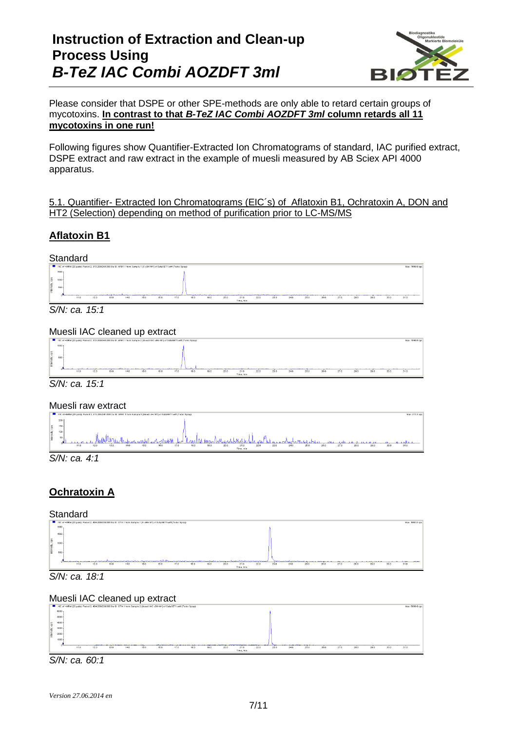# **Instruction of Extraction and Clean-up Process Using** *B-TeZ IAC Combi AOZDFT 3ml*



#### Please consider that DSPE or other SPE-methods are only able to retard certain groups of mycotoxins. **In contrast to that** *B-TeZ IAC Combi AOZDFT 3ml* **column retards all 11 mycotoxins in one run!**

Following figures show Quantifier-Extracted Ion Chromatograms of standard, IAC purified extract, DSPE extract and raw extract in the example of muesli measured by AB Sciex API 4000 apparatus.

#### 5.1. Quantifier- Extracted Ion Chromatograms (EIC´s) of Aflatoxin B1, Ochratoxin A, DON and HT2 (Selection) depending on method of purification prior to LC-MS/MS

### **Aflatoxin B1**

#### **Standard**



*S/N: ca. 15:1*

#### Muesli IAC cleaned up extract







*S/N: ca. 4:1*

### **Ochratoxin A**

### **Standard**





#### Muesli IAC cleaned up extract



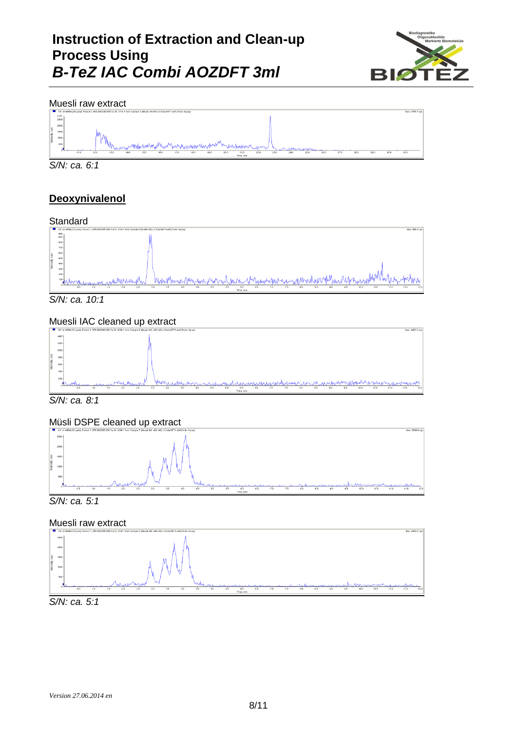# **Instruction of Extraction and Clean-up Process Using** *B-TeZ IAC Combi AOZDFT 3ml*



#### Muesli raw extract



*S/N: ca. 6:1*

### **Deoxynivalenol**

### **Standard**



*S/N: ca. 10:1*

### Muesli IAC cleaned up extract



*S/N: ca. 8:1*

### Müsli DSPE cleaned up extract





### Muesli raw extract



*S/N: ca. 5:1*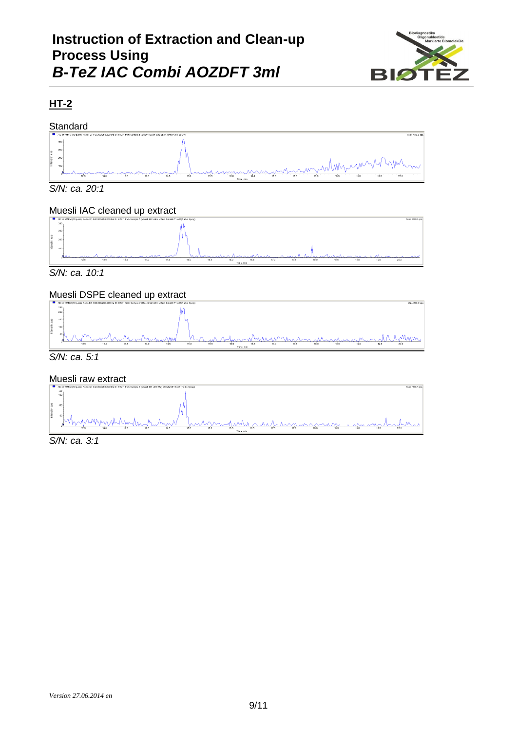

## **HT-2**

#### **Standard**



*S/N: ca. 20:1*

### Muesli IAC cleaned up extract



*S/N: ca. 10:1*

### Muesli DSPE cleaned up extract



#### Muesli raw extract



*S/N: ca. 3:1*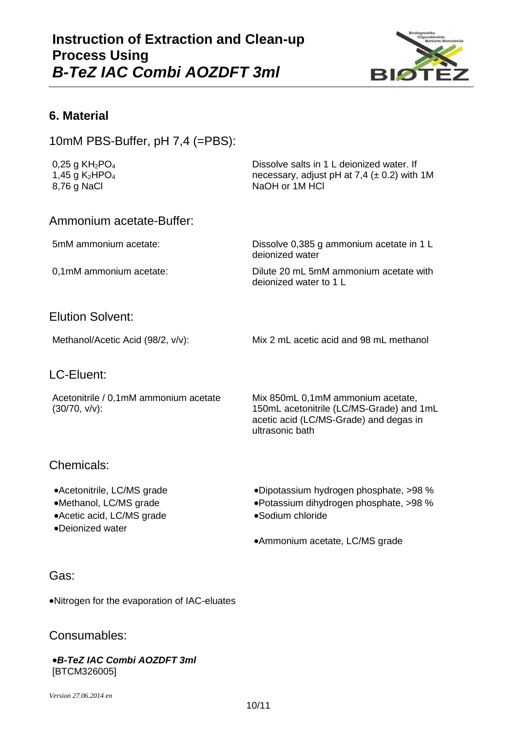

### **6. Material**

10mM PBS-Buffer, pH 7,4 (=PBS):

0,25 g KH<sub>2</sub>PO<sub>4</sub> 1,45 g  $K_2HPO_4$ 8,76 g NaCl

Dissolve salts in 1 L deionized water. If necessary, adjust pH at  $7,4$  ( $\pm$  0.2) with 1M NaOH or 1M HCl

### Ammonium acetate-Buffer:

5mM ammonium acetate: Dissolve 0,385 g ammonium acetate in 1 L deionized water

0,1mM ammonium acetate: Dilute 20 mL 5mM ammonium acetate with deionized water to 1 L

### Elution Solvent:

Methanol/Acetic Acid (98/2, v/v): Mix 2 mL acetic acid and 98 mL methanol

### LC-Eluent:

Acetonitrile / 0,1mM ammonium acetate (30/70, v/v):

Mix 850mL 0,1mM ammonium acetate, 150mL acetonitrile (LC/MS-Grade) and 1mL acetic acid (LC/MS-Grade) and degas in ultrasonic bath

### Chemicals:

- 
- Acetic acid, LC/MS grade Sodium chloride
- Deionized water
- •Acetonitrile, LC/MS grade **Dipotassium hydrogen phosphate, >98** %
- •Methanol, LC/MS grade **Constructed Fouriers** •Potassium dihydrogen phosphate, >98 %
	-

Ammonium acetate, LC/MS grade

### Gas:

Nitrogen for the evaporation of IAC-eluates

### Consumables:

#### *B-TeZ IAC Combi AOZDFT 3ml* [BTCM326005]